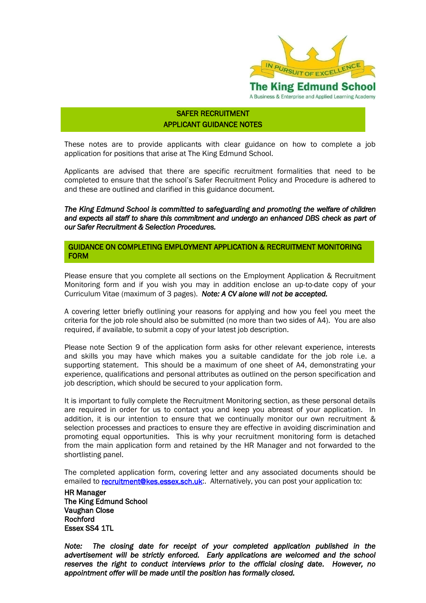

# SAFER RECRUITMENT APPLICANT GUIDANCE NOTES

These notes are to provide applicants with clear guidance on how to complete a job application for positions that arise at The King Edmund School.

Applicants are advised that there are specific recruitment formalities that need to be completed to ensure that the school"s Safer Recruitment Policy and Procedure is adhered to and these are outlined and clarified in this guidance document.

*The King Edmund School is committed to safeguarding and promoting the welfare of children and expects all staff to share this commitment and undergo an enhanced DBS check as part of our Safer Recruitment & Selection Procedures.* 

GUIDANCE ON COMPLETING EMPLOYMENT APPLICATION & RECRUITMENT MONITORING FORM

Please ensure that you complete all sections on the Employment Application & Recruitment Monitoring form and if you wish you may in addition enclose an up-to-date copy of your Curriculum Vitae (maximum of 3 pages). *Note: A CV alone will not be accepted.*

A covering letter briefly outlining your reasons for applying and how you feel you meet the criteria for the job role should also be submitted (no more than two sides of A4). You are also required, if available, to submit a copy of your latest job description.

Please note Section 9 of the application form asks for other relevant experience, interests and skills you may have which makes you a suitable candidate for the job role i.e. a supporting statement. This should be a maximum of one sheet of A4, demonstrating your experience, qualifications and personal attributes as outlined on the person specification and job description, which should be secured to your application form.

It is important to fully complete the Recruitment Monitoring section, as these personal details are required in order for us to contact you and keep you abreast of your application. In addition, it is our intention to ensure that we continually monitor our own recruitment & selection processes and practices to ensure they are effective in avoiding discrimination and promoting equal opportunities. This is why your recruitment monitoring form is detached from the main application form and retained by the HR Manager and not forwarded to the shortlisting panel.

The completed application form, covering letter and any associated documents should be emailed to **recruitment@kes.essex.sch.uk**: Alternatively, you can post your application to:

HR Manager The King Edmund School Vaughan Close Rochford Essex SS4 1TL

*Note: The closing date for receipt of your completed application published in the advertisement will be strictly enforced. Early applications are welcomed and the school reserves the right to conduct interviews prior to the official closing date. However, no appointment offer will be made until the position has formally closed.*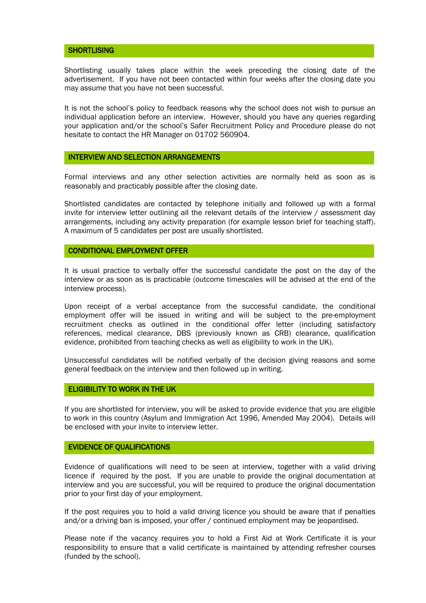### **SHORTLISING**

Shortlisting usually takes place within the week preceding the closing date of the advertisement. If you have not been contacted within four weeks after the closing date you may assume that you have not been successful.

It is not the school"s policy to feedback reasons why the school does not wish to pursue an individual application before an interview. However, should you have any queries regarding your application and/or the school"s Safer Recruitment Policy and Procedure please do not hesitate to contact the HR Manager on 01702 560904.

### INTERVIEW AND SELECTION ARRANGEMENTS

Formal interviews and any other selection activities are normally held as soon as is reasonably and practicably possible after the closing date.

Shortlisted candidates are contacted by telephone initially and followed up with a formal invite for interview letter outlining all the relevant details of the interview / assessment day arrangements, including any activity preparation (for example lesson brief for teaching staff). A maximum of 5 candidates per post are usually shortlisted.

# CONDITIONAL EMPLOYMENT OFFER

It is usual practice to verbally offer the successful candidate the post on the day of the interview or as soon as is practicable (outcome timescales will be advised at the end of the interview process).

Upon receipt of a verbal acceptance from the successful candidate, the conditional employment offer will be issued in writing and will be subject to the pre-employment recruitment checks as outlined in the conditional offer letter (including satisfactory references, medical clearance, DBS (previously known as CRB) clearance, qualification evidence, prohibited from teaching checks as well as eligibility to work in the UK).

Unsuccessful candidates will be notified verbally of the decision giving reasons and some general feedback on the interview and then followed up in writing.

# ELIGIBILITY TO WORK IN THE UK

If you are shortlisted for interview, you will be asked to provide evidence that you are eligible to work in this country (Asylum and Immigration Act 1996, Amended May 2004). Details will be enclosed with your invite to interview letter.

### EVIDENCE OF QUALIFICATIONS

Evidence of qualifications will need to be seen at interview, together with a valid driving licence if required by the post. If you are unable to provide the original documentation at interview and you are successful, you will be required to produce the original documentation prior to your first day of your employment.

If the post requires you to hold a valid driving licence you should be aware that if penalties and/or a driving ban is imposed, your offer / continued employment may be jeopardised.

Please note if the vacancy requires you to hold a First Aid at Work Certificate it is your responsibility to ensure that a valid certificate is maintained by attending refresher courses (funded by the school).